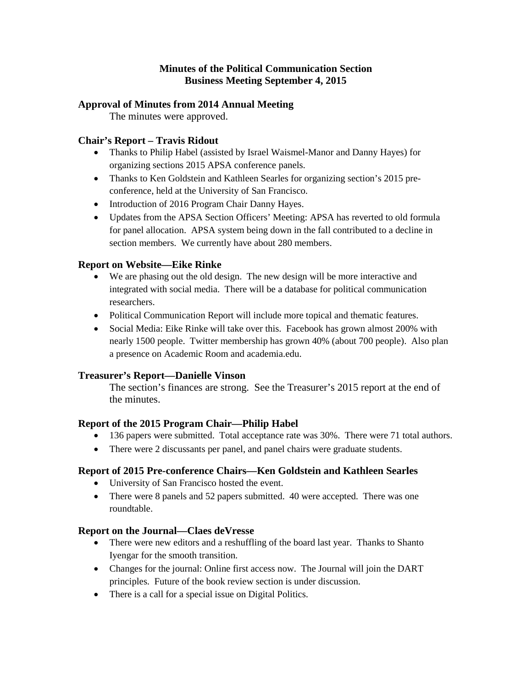## **Minutes of the Political Communication Section Business Meeting September 4, 2015**

## **Approval of Minutes from 2014 Annual Meeting**

The minutes were approved.

## **Chair's Report – Travis Ridout**

- Thanks to Philip Habel (assisted by Israel Waismel-Manor and Danny Hayes) for organizing sections 2015 APSA conference panels.
- Thanks to Ken Goldstein and Kathleen Searles for organizing section's 2015 preconference, held at the University of San Francisco.
- Introduction of 2016 Program Chair Danny Hayes.
- Updates from the APSA Section Officers' Meeting: APSA has reverted to old formula for panel allocation. APSA system being down in the fall contributed to a decline in section members. We currently have about 280 members.

## **Report on Website—Eike Rinke**

- We are phasing out the old design. The new design will be more interactive and integrated with social media. There will be a database for political communication researchers.
- Political Communication Report will include more topical and thematic features.
- Social Media: Eike Rinke will take over this. Facebook has grown almost 200% with nearly 1500 people. Twitter membership has grown 40% (about 700 people). Also plan a presence on Academic Room and academia.edu.

### **Treasurer's Report—Danielle Vinson**

The section's finances are strong. See the Treasurer's 2015 report at the end of the minutes.

### **Report of the 2015 Program Chair—Philip Habel**

- 136 papers were submitted. Total acceptance rate was 30%. There were 71 total authors.
- There were 2 discussants per panel, and panel chairs were graduate students.

### **Report of 2015 Pre-conference Chairs—Ken Goldstein and Kathleen Searles**

- University of San Francisco hosted the event.
- There were 8 panels and 52 papers submitted. 40 were accepted. There was one roundtable.

### **Report on the Journal—Claes deVresse**

- There were new editors and a reshuffling of the board last year. Thanks to Shanto Iyengar for the smooth transition.
- Changes for the journal: Online first access now. The Journal will join the DART principles. Future of the book review section is under discussion.
- There is a call for a special issue on Digital Politics.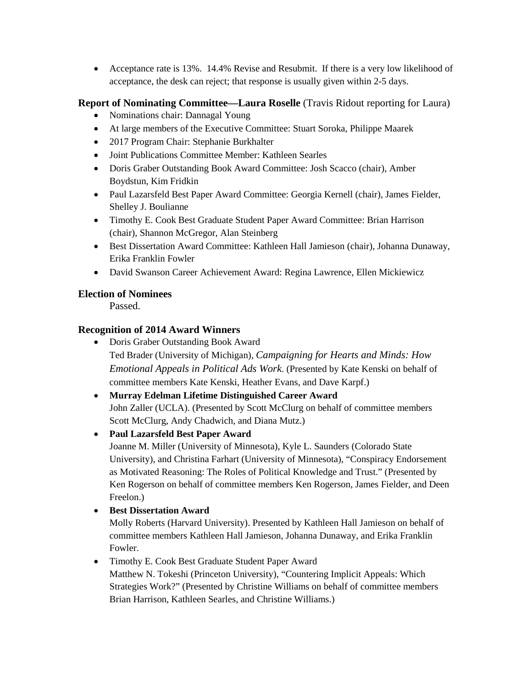• Acceptance rate is 13%. 14.4% Revise and Resubmit. If there is a very low likelihood of acceptance, the desk can reject; that response is usually given within 2-5 days.

## **Report of Nominating Committee—Laura Roselle** (Travis Ridout reporting for Laura)

- Nominations chair: Dannagal Young
- At large members of the Executive Committee: Stuart Soroka, Philippe Maarek
- 2017 Program Chair: Stephanie Burkhalter
- Joint Publications Committee Member: Kathleen Searles
- Doris Graber Outstanding Book Award Committee: Josh Scacco (chair), Amber Boydstun, Kim Fridkin
- Paul Lazarsfeld Best Paper Award Committee: Georgia Kernell (chair), James Fielder, Shelley J. Boulianne
- Timothy E. Cook Best Graduate Student Paper Award Committee: Brian Harrison (chair), Shannon McGregor, Alan Steinberg
- Best Dissertation Award Committee: Kathleen Hall Jamieson (chair), Johanna Dunaway, Erika Franklin Fowler
- David Swanson Career Achievement Award: Regina Lawrence, Ellen Mickiewicz

# **Election of Nominees**

Passed.

# **Recognition of 2014 Award Winners**

• Doris Graber Outstanding Book Award Ted Brader (University of Michigan), *Campaigning for Hearts and Minds: How Emotional Appeals in Political Ads Work*. (Presented by Kate Kenski on behalf of committee members Kate Kenski, Heather Evans, and Dave Karpf.)

# • **Murray Edelman Lifetime Distinguished Career Award** John Zaller (UCLA). (Presented by Scott McClurg on behalf of committee members Scott McClurg, Andy Chadwich, and Diana Mutz.)

# • **Paul Lazarsfeld Best Paper Award**

Joanne M. Miller (University of Minnesota), Kyle L. Saunders (Colorado State University), and Christina Farhart (University of Minnesota), "Conspiracy Endorsement as Motivated Reasoning: The Roles of Political Knowledge and Trust." (Presented by Ken Rogerson on behalf of committee members Ken Rogerson, James Fielder, and Deen Freelon.)

• **Best Dissertation Award**

Molly Roberts (Harvard University). Presented by Kathleen Hall Jamieson on behalf of committee members Kathleen Hall Jamieson, Johanna Dunaway, and Erika Franklin Fowler.

• Timothy E. Cook Best Graduate Student Paper Award Matthew N. Tokeshi (Princeton University), "Countering Implicit Appeals: Which Strategies Work?" (Presented by Christine Williams on behalf of committee members Brian Harrison, Kathleen Searles, and Christine Williams.)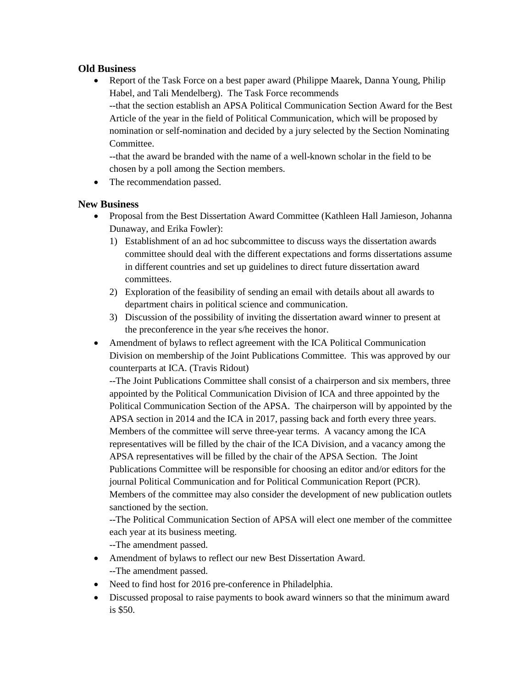## **Old Business**

• Report of the Task Force on a best paper award (Philippe Maarek, Danna Young, Philip Habel, and Tali Mendelberg). The Task Force recommends --that the section establish an APSA Political Communication Section Award for the Best Article of the year in the field of Political Communication, which will be proposed by nomination or self-nomination and decided by a jury selected by the Section Nominating Committee.

--that the award be branded with the name of a well-known scholar in the field to be chosen by a poll among the Section members.

• The recommendation passed.

## **New Business**

- Proposal from the Best Dissertation Award Committee (Kathleen Hall Jamieson, Johanna Dunaway, and Erika Fowler):
	- 1) Establishment of an ad hoc subcommittee to discuss ways the dissertation awards committee should deal with the different expectations and forms dissertations assume in different countries and set up guidelines to direct future dissertation award committees.
	- 2) Exploration of the feasibility of sending an email with details about all awards to department chairs in political science and communication.
	- 3) Discussion of the possibility of inviting the dissertation award winner to present at the preconference in the year s/he receives the honor.
- Amendment of bylaws to reflect agreement with the ICA Political Communication Division on membership of the Joint Publications Committee. This was approved by our counterparts at ICA. (Travis Ridout)

--The Joint Publications Committee shall consist of a chairperson and six members, three appointed by the Political Communication Division of ICA and three appointed by the Political Communication Section of the APSA. The chairperson will by appointed by the APSA section in 2014 and the ICA in 2017, passing back and forth every three years. Members of the committee will serve three-year terms. A vacancy among the ICA representatives will be filled by the chair of the ICA Division, and a vacancy among the APSA representatives will be filled by the chair of the APSA Section. The Joint Publications Committee will be responsible for choosing an editor and/or editors for the journal Political Communication and for Political Communication Report (PCR). Members of the committee may also consider the development of new publication outlets sanctioned by the section.

--The Political Communication Section of APSA will elect one member of the committee each year at its business meeting.

--The amendment passed.

- Amendment of bylaws to reflect our new Best Dissertation Award. --The amendment passed.
- Need to find host for 2016 pre-conference in Philadelphia.
- Discussed proposal to raise payments to book award winners so that the minimum award is \$50.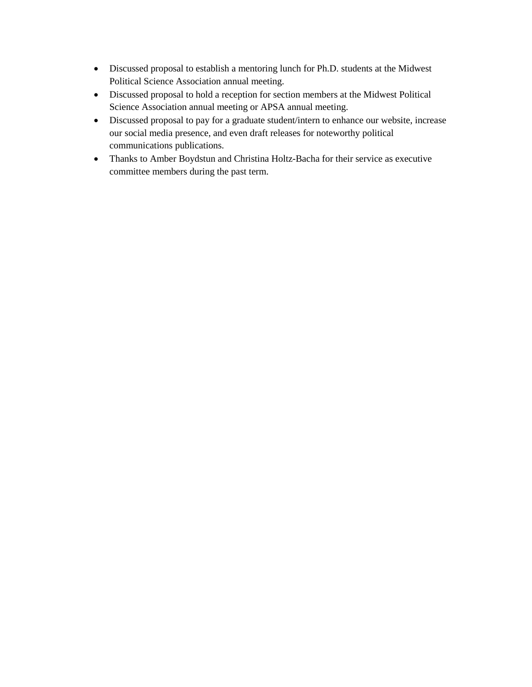- Discussed proposal to establish a mentoring lunch for Ph.D. students at the Midwest Political Science Association annual meeting.
- Discussed proposal to hold a reception for section members at the Midwest Political Science Association annual meeting or APSA annual meeting.
- Discussed proposal to pay for a graduate student/intern to enhance our website, increase our social media presence, and even draft releases for noteworthy political communications publications.
- Thanks to Amber Boydstun and Christina Holtz-Bacha for their service as executive committee members during the past term.